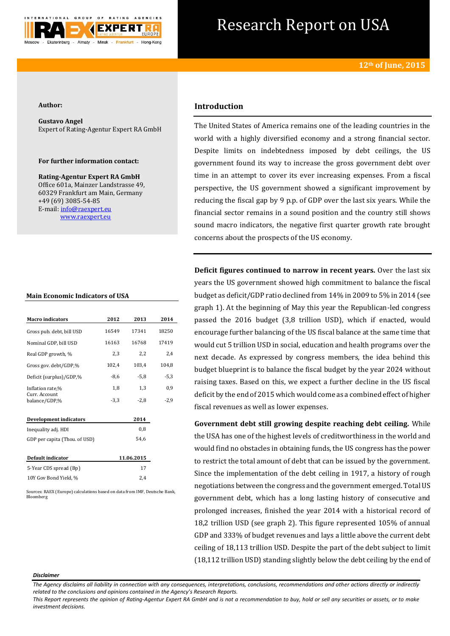

# Research Report on USA

### **Author:**

**Gustavo Angel** Expert of Rating-Agentur Expert RA GmbH

## **For further information contact:**

**Rating-Agentur Expert RA GmbH** Office 601a, Mainzer Landstrasse 49, 60329 Frankfurt am Main, Germany +49 (69) 3085-54-85 E-mail[: info@raexpert.eu](mailto:info@raexpert.eu) [www.raexpert.eu](http://raexpert.eu/)

## **Main Economic Indicators of USA**

| <b>Macro</b> indicators        | 2012   | 2013       | 2014   |
|--------------------------------|--------|------------|--------|
| Gross pub. debt, bill USD      | 16549  | 17341      | 18250  |
| Nominal GDP, bill USD          | 16163  | 16768      | 17419  |
| Real GDP growth, %             | 2,3    | 2,2        | 2,4    |
| Gross gov. debt/GDP,%          | 102,4  | 103,4      | 104,8  |
| Deficit (surplus)/GDP,%        | $-8,6$ | $-5,8$     | $-5,3$ |
| Inflation rate,%               | 1,8    | 1,3        | 0,9    |
| Curr. Account<br>balance/GDP.% | $-3,3$ | $-2,8$     | $-2,9$ |
| <b>Development indicators</b>  |        | 2014       |        |
| Inequality adj. HDI            |        | 0,8        |        |
| GDP per capita (Thou. of USD)  |        | 54,6       |        |
| Default indicator              |        | 11.06.2015 |        |
| 5-Year CDS spread (Bp)         |        | 17         |        |
| 10Y Gov Bond Yield, %          |        | 2.4        |        |

Sources: RAEX (Europe) calculations based on data from IMF, Deutsche Bank, Bloomberg

# **Introduction**

The United States of America remains one of the leading countries in the world with a highly diversified economy and a strong financial sector. Despite limits on indebtedness imposed by debt ceilings, the US government found its way to increase the gross government debt over time in an attempt to cover its ever increasing expenses. From a fiscal perspective, the US government showed a significant improvement by reducing the fiscal gap by 9 p.p. of GDP over the last six years. While the financial sector remains in a sound position and the country still shows sound macro indicators, the negative first quarter growth rate brought concerns about the prospects of the US economy.

**Deficit figures continued to narrow in recent years.** Over the last six years the US government showed high commitment to balance the fiscal budget as deficit/GDP ratio declined from 14% in 2009 to 5% in 2014 (see graph 1). At the beginning of May this year the Republican-led congress passed the 2016 budget (3,8 trillion USD), which if enacted, would encourage further balancing of the US fiscal balance at the same time that would cut 5 trillion USD in social, education and health programs over the next decade. As expressed by congress members, the idea behind this budget blueprint is to balance the fiscal budget by the year 2024 without raising taxes. Based on this, we expect a further decline in the US fiscal deficit by the end of 2015 which would come as a combined effect of higher fiscal revenues as well as lower expenses.

**Government debt still growing despite reaching debt ceiling.** While the USA has one of the highest levels of creditworthiness in the world and would find no obstacles in obtaining funds, the US congress has the power to restrict the total amount of debt that can be issued by the government. Since the implementation of the debt ceiling in 1917, a history of rough negotiations between the congress and the government emerged. Total US government debt, which has a long lasting history of consecutive and prolonged increases, finished the year 2014 with a historical record of 18,2 trillion USD (see graph 2). This figure represented 105% of annual GDP and 333% of budget revenues and lays a little above the current debt ceiling of 18,113 trillion USD. Despite the part of the debt subject to limit (18,112 trillion USD) standing slightly below the debt ceiling by the end of

#### *Disclaimer*

*The Agency disclaims all liability in connection with any consequences, interpretations, conclusions, recommendations and other actions directly or indirectly related to the conclusions and opinions contained in the Agency's Research Reports.* 

*This Report represents the opinion of Rating-Agentur Expert RA GmbH and is not a recommendation to buy, hold or sell any securities or assets, or to make investment decisions.*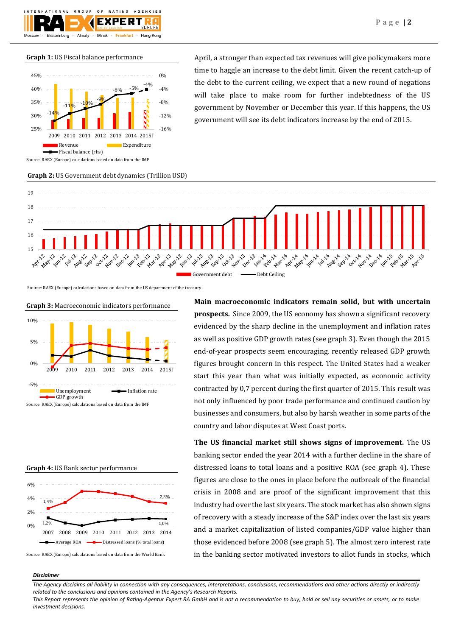## **Graph 1:** US Fiscal balance performance



April, a stronger than expected tax revenues will give policymakers more time to haggle an increase to the debt limit. Given the recent catch-up of the debt to the current ceiling, we expect that a new round of negations will take place to make room for further indebtedness of the US government by November or December this year. If this happens, the US government will see its debt indicators increase by the end of 2015.



Source: RAEX (Europe) calculations based on data from the US department of the treasury

**Graph 3:** Macroeconomic indicators performance 10%



Source: RAEX (Europe) calculations based on data from the IMF



Source: RAEX (Europe) calculations based on data from the World Bank

**Main macroeconomic indicators remain solid, but with uncertain prospects.** Since 2009, the US economy has shown a significant recovery evidenced by the sharp decline in the unemployment and inflation rates as well as positive GDP growth rates (see graph 3). Even though the 2015 end-of-year prospects seem encouraging, recently released GDP growth figures brought concern in this respect. The United States had a weaker start this year than what was initially expected, as economic activity contracted by 0,7 percent during the first quarter of 2015. This result was not only influenced by poor trade performance and continued caution by businesses and consumers, but also by harsh weather in some parts of the country and labor disputes at West Coast ports.

**The US financial market still shows signs of improvement.** The US banking sector ended the year 2014 with a further decline in the share of distressed loans to total loans and a positive ROA (see graph 4). These figures are close to the ones in place before the outbreak of the financial crisis in 2008 and are proof of the significant improvement that this industry had over the last six years. The stock market has also shown signs of recovery with a steady increase of the S&P index over the last six years and a market capitalization of listed companies/GDP value higher than those evidenced before 2008 (see graph 5). The almost zero interest rate in the banking sector motivated investors to allot funds in stocks, which

#### *Disclaimer*

*The Agency disclaims all liability in connection with any consequences, interpretations, conclusions, recommendations and other actions directly or indirectly related to the conclusions and opinions contained in the Agency's Research Reports.*

*This Report represents the opinion of Rating-Agentur Expert RA GmbH and is not a recommendation to buy, hold or sell any securities or assets, or to make investment decisions.*